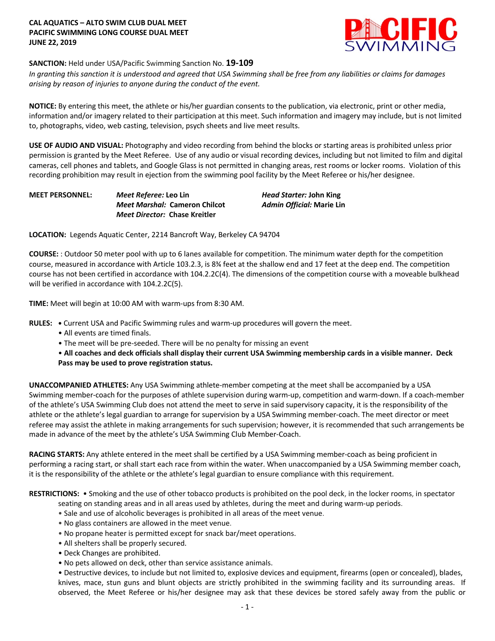## **CAL AQUATICS – ALTO SWIM CLUB DUAL MEET PACIFIC SWIMMING LONG COURSE DUAL MEET JUNE 22, 2019**



# **SANCTION:** Held under USA/Pacific Swimming Sanction No. **19-109**

*In granting this sanction it is understood and agreed that USA Swimming shall be free from any liabilities or claims for damages arising by reason of injuries to anyone during the conduct of the event.* 

**NOTICE:** By entering this meet, the athlete or his/her guardian consents to the publication, via electronic, print or other media, information and/or imagery related to their participation at this meet. Such information and imagery may include, but is not limited to, photographs, video, web casting, television, psych sheets and live meet results.

**USE OF AUDIO AND VISUAL:** Photography and video recording from behind the blocks or starting areas is prohibited unless prior permission is granted by the Meet Referee. Use of any audio or visual recording devices, including but not limited to film and digital cameras, cell phones and tablets, and Google Glass is not permitted in changing areas, rest rooms or locker rooms. Violation of this recording prohibition may result in ejection from the swimming pool facility by the Meet Referee or his/her designee.

**MEET PERSONNEL:** *Meet Referee:* **Leo Lin** *Head Starter:* **John King** *Meet Marshal:* **Cameron Chilcot** *Admin Official:* **Marie Lin** *Meet Director:* **Chase Kreitler**

**LOCATION:** Legends Aquatic Center, 2214 Bancroft Way, Berkeley CA 94704

**COURSE:** : Outdoor 50 meter pool with up to 6 lanes available for competition. The minimum water depth for the competition course, measured in accordance with Article 103.2.3, is 8¾ feet at the shallow end and 17 feet at the deep end. The competition course has not been certified in accordance with 104.2.2C(4). The dimensions of the competition course with a moveable bulkhead will be verified in accordance with 104.2.2C(5).

**TIME:** Meet will begin at 10:00 AM with warm-ups from 8:30 AM.

**RULES: •** Current USA and Pacific Swimming rules and warm-up procedures will govern the meet.

- All events are timed finals.
- The meet will be pre-seeded. There will be no penalty for missing an event

• **All coaches and deck officials shall display their current USA Swimming membership cards in a visible manner. Deck Pass may be used to prove registration status.**

**UNACCOMPANIED ATHLETES:** Any USA Swimming athlete-member competing at the meet shall be accompanied by a USA Swimming member-coach for the purposes of athlete supervision during warm-up, competition and warm-down. If a coach-member of the athlete's USA Swimming Club does not attend the meet to serve in said supervisory capacity, it is the responsibility of the athlete or the athlete's legal guardian to arrange for supervision by a USA Swimming member-coach. The meet director or meet referee may assist the athlete in making arrangements for such supervision; however, it is recommended that such arrangements be made in advance of the meet by the athlete's USA Swimming Club Member-Coach.

**RACING STARTS:** Any athlete entered in the meet shall be certified by a USA Swimming member-coach as being proficient in performing a racing start, or shall start each race from within the water. When unaccompanied by a USA Swimming member coach, it is the responsibility of the athlete or the athlete's legal guardian to ensure compliance with this requirement.

**RESTRICTIONS:** • Smoking and the use of other tobacco products is prohibited on the pool deck, in the locker rooms, in spectator

- seating on standing areas and in all areas used by athletes, during the meet and during warm-up periods.
- Sale and use of alcoholic beverages is prohibited in all areas of the meet venue.
- No glass containers are allowed in the meet venue.
- No propane heater is permitted except for snack bar/meet operations.
- All shelters shall be properly secured.
- Deck Changes are prohibited.
- No pets allowed on deck, other than service assistance animals.

• Destructive devices, to include but not limited to, explosive devices and equipment, firearms (open or concealed), blades, knives, mace, stun guns and blunt objects are strictly prohibited in the swimming facility and its surrounding areas. If observed, the Meet Referee or his/her designee may ask that these devices be stored safely away from the public or